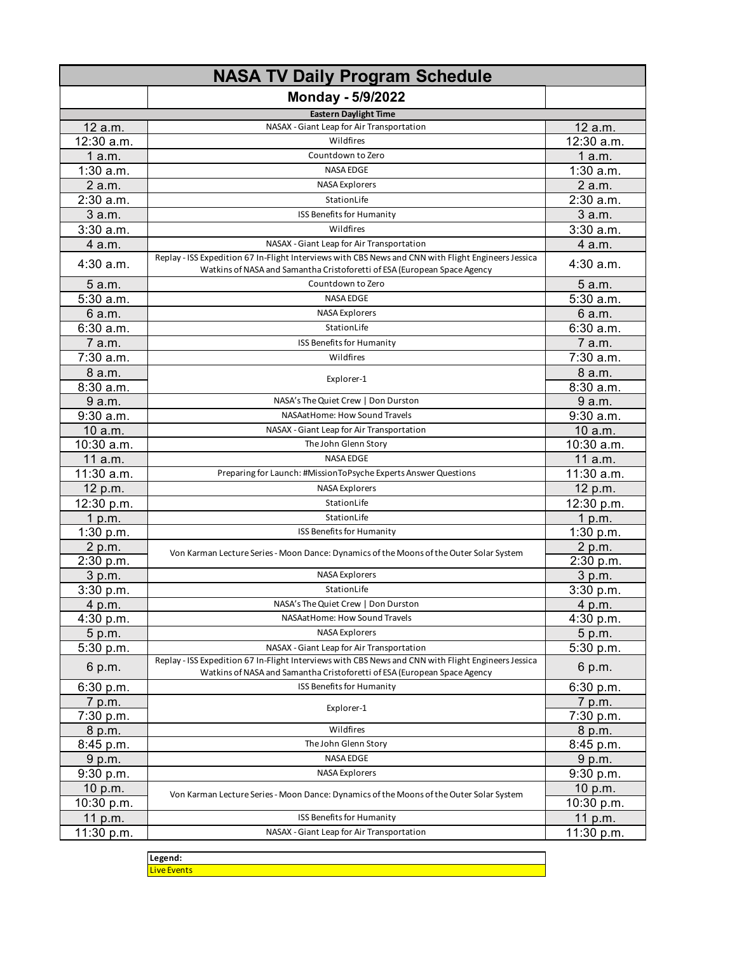|             | <b>NASA TV Daily Program Schedule</b>                                                                                                                                           |             |
|-------------|---------------------------------------------------------------------------------------------------------------------------------------------------------------------------------|-------------|
|             | Monday - 5/9/2022                                                                                                                                                               |             |
|             | <b>Eastern Daylight Time</b>                                                                                                                                                    |             |
| 12 a.m.     | NASAX - Giant Leap for Air Transportation                                                                                                                                       | 12 a.m.     |
| 12:30 a.m.  | Wildfires                                                                                                                                                                       | 12:30 a.m.  |
| 1a.m.       | Countdown to Zero                                                                                                                                                               | 1a.m.       |
| $1:30$ a.m. | <b>NASA EDGE</b>                                                                                                                                                                | $1:30$ a.m. |
| 2 a.m.      | <b>NASA Explorers</b>                                                                                                                                                           | 2 a.m.      |
| 2:30 a.m.   | StationLife                                                                                                                                                                     | 2:30 a.m.   |
| 3 a.m.      | <b>ISS Benefits for Humanity</b>                                                                                                                                                | 3 a.m.      |
| 3:30a.m.    | Wildfires                                                                                                                                                                       | $3:30$ a.m. |
| 4 a.m.      | NASAX - Giant Leap for Air Transportation                                                                                                                                       | 4 a.m.      |
|             | Replay - ISS Expedition 67 In-Flight Interviews with CBS News and CNN with Flight Engineers Jessica                                                                             |             |
| $4:30$ a.m. | Watkins of NASA and Samantha Cristoforetti of ESA (European Space Agency                                                                                                        | 4:30 a.m.   |
| 5 a.m.      | Countdown to Zero                                                                                                                                                               | 5 a.m.      |
| 5:30 a.m.   | <b>NASA EDGE</b>                                                                                                                                                                | 5:30 a.m.   |
| 6 a.m.      | <b>NASA Explorers</b>                                                                                                                                                           | 6 a.m.      |
| 6:30 a.m.   | StationLife                                                                                                                                                                     | 6:30 a.m.   |
| 7 a.m.      | ISS Benefits for Humanity                                                                                                                                                       | 7 a.m.      |
| 7:30 a.m.   | Wildfires                                                                                                                                                                       | 7:30 a.m.   |
| 8 a.m.      | Explorer-1                                                                                                                                                                      | 8 a.m.      |
| 8:30 a.m.   |                                                                                                                                                                                 | 8:30a.m.    |
| 9 a.m.      | NASA's The Quiet Crew   Don Durston                                                                                                                                             | 9 a.m.      |
| $9:30$ a.m. | NASAatHome: How Sound Travels                                                                                                                                                   | $9:30$ a.m. |
| 10 a.m.     | NASAX - Giant Leap for Air Transportation                                                                                                                                       | 10 a.m.     |
| 10:30 a.m.  | The John Glenn Story                                                                                                                                                            | 10:30 a.m.  |
| 11 a.m.     | NASA EDGE                                                                                                                                                                       | 11 a.m.     |
| 11:30 a.m.  | Preparing for Launch: #MissionToPsyche Experts Answer Questions                                                                                                                 | 11:30 a.m.  |
| 12 p.m.     | <b>NASA Explorers</b>                                                                                                                                                           | 12 p.m.     |
| 12:30 p.m.  | StationLife                                                                                                                                                                     | 12:30 p.m.  |
| 1 p.m.      | StationLife                                                                                                                                                                     | 1 p.m.      |
| 1:30 p.m.   | ISS Benefits for Humanity                                                                                                                                                       | 1:30 p.m.   |
| 2 p.m.      | Von Karman Lecture Series - Moon Dance: Dynamics of the Moons of the Outer Solar System                                                                                         | 2 p.m.      |
| 2:30 p.m.   |                                                                                                                                                                                 | 2:30 p.m.   |
| 3 p.m.      | <b>NASA Explorers</b>                                                                                                                                                           | 3 p.m.      |
| 3:30 p.m.   | StationLife                                                                                                                                                                     | 3:30 p.m.   |
| 4 p.m.      | NASA's The Quiet Crew   Don Durston                                                                                                                                             | 4 p.m.      |
| 4:30 p.m.   | NASAatHome: How Sound Travels                                                                                                                                                   | 4:30 p.m.   |
| 5 p.m.      | <b>NASA Explorers</b>                                                                                                                                                           | 5 p.m.      |
| 5:30 p.m.   | NASAX - Giant Leap for Air Transportation                                                                                                                                       | 5:30 p.m.   |
| 6 p.m.      | Replay - ISS Expedition 67 In-Flight Interviews with CBS News and CNN with Flight Engineers Jessica<br>Watkins of NASA and Samantha Cristoforetti of ESA (European Space Agency | 6 p.m.      |
| 6:30 p.m.   | <b>ISS Benefits for Humanity</b>                                                                                                                                                | 6:30 p.m.   |
| 7 p.m.      | Explorer-1                                                                                                                                                                      | 7 p.m.      |
| 7:30 p.m.   |                                                                                                                                                                                 | 7:30 p.m.   |
| 8 p.m.      | Wildfires                                                                                                                                                                       | 8 p.m.      |
| 8:45 p.m.   | The John Glenn Story                                                                                                                                                            | 8:45 p.m.   |
| 9 p.m.      | <b>NASA EDGE</b>                                                                                                                                                                | 9 p.m.      |
| 9:30 p.m.   | <b>NASA Explorers</b>                                                                                                                                                           | 9:30 p.m.   |
| 10 p.m.     |                                                                                                                                                                                 | 10 p.m.     |
| 10:30 p.m.  | Von Karman Lecture Series - Moon Dance: Dynamics of the Moons of the Outer Solar System                                                                                         | 10:30 p.m.  |
| 11 p.m.     | ISS Benefits for Humanity                                                                                                                                                       | 11 p.m.     |
| 11:30 p.m.  | NASAX - Giant Leap for Air Transportation                                                                                                                                       | 11:30 p.m.  |
|             |                                                                                                                                                                                 |             |

**Legend: Live Events**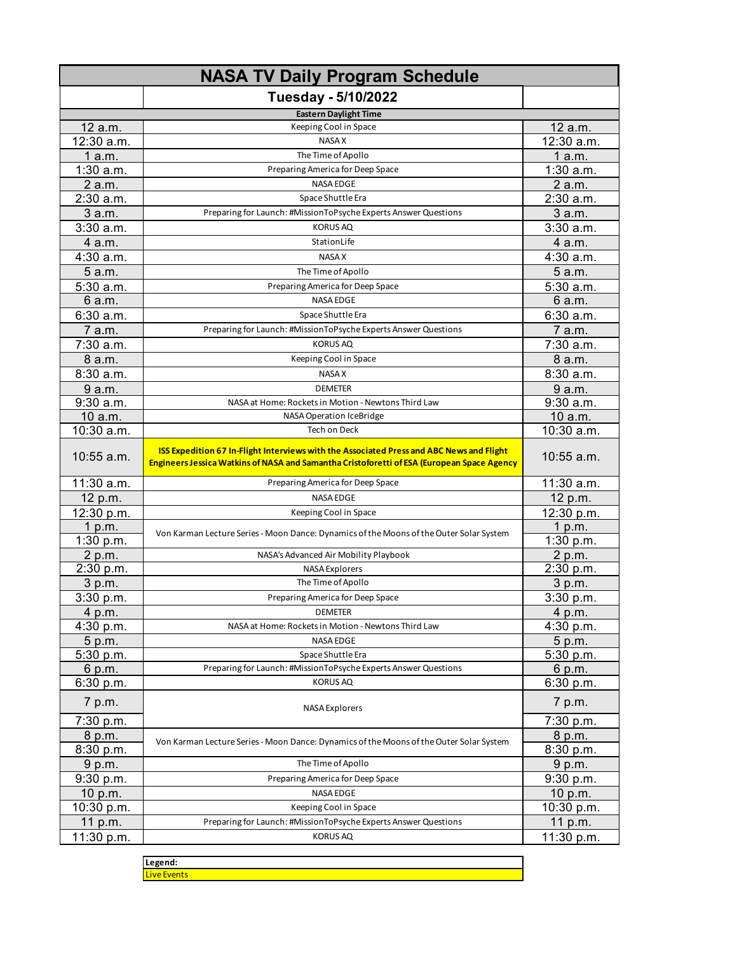|                                                                                                | Tuesday - 5/10/2022                                                                                                                                                                    |                                                                                                |
|------------------------------------------------------------------------------------------------|----------------------------------------------------------------------------------------------------------------------------------------------------------------------------------------|------------------------------------------------------------------------------------------------|
|                                                                                                | <b>Eastern Daylight Time</b>                                                                                                                                                           |                                                                                                |
| 12 a.m.                                                                                        | Keeping Cool in Space                                                                                                                                                                  | 12 a.m.                                                                                        |
| 12:30 a.m.                                                                                     | <b>NASA X</b>                                                                                                                                                                          | 12:30 a.m.                                                                                     |
| 1a.m.                                                                                          | The Time of Apollo                                                                                                                                                                     | 1a.m.                                                                                          |
| $1:30$ a.m.                                                                                    | Preparing America for Deep Space                                                                                                                                                       | $1:30$ a.m.                                                                                    |
| 2 a.m.                                                                                         | <b>NASA EDGE</b>                                                                                                                                                                       | 2 a.m.                                                                                         |
| $2:30$ a.m.                                                                                    | Space Shuttle Era                                                                                                                                                                      | 2:30 a.m.                                                                                      |
| 3 a.m.                                                                                         | Preparing for Launch: #MissionToPsyche Experts Answer Questions                                                                                                                        | 3 a.m.                                                                                         |
| 3:30a.m.                                                                                       | <b>KORUS AQ</b>                                                                                                                                                                        | 3:30 a.m.                                                                                      |
| 4 a.m.                                                                                         | StationLife                                                                                                                                                                            | 4 a.m.                                                                                         |
| 4:30 a.m.                                                                                      | <b>NASA X</b>                                                                                                                                                                          | 4:30 a.m.                                                                                      |
| 5 a.m.                                                                                         | The Time of Apollo                                                                                                                                                                     | 5 a.m.                                                                                         |
| 5:30 a.m.                                                                                      | Preparing America for Deep Space                                                                                                                                                       | 5:30 a.m.                                                                                      |
| 6 a.m.                                                                                         | <b>NASA EDGE</b>                                                                                                                                                                       | 6 a.m.                                                                                         |
| 6:30a.m.                                                                                       | Space Shuttle Era                                                                                                                                                                      | 6:30a.m.                                                                                       |
| 7 a.m.                                                                                         | Preparing for Launch: #MissionToPsyche Experts Answer Questions                                                                                                                        | 7 a.m.                                                                                         |
| 7:30 a.m.                                                                                      | <b>KORUS AQ</b>                                                                                                                                                                        | 7:30 a.m.                                                                                      |
|                                                                                                |                                                                                                                                                                                        |                                                                                                |
| 8 a.m.<br>8:30a.m.                                                                             | Keeping Cool in Space<br><b>NASA X</b>                                                                                                                                                 | 8 a.m.                                                                                         |
|                                                                                                |                                                                                                                                                                                        | 8:30 a.m.                                                                                      |
| 9a.m.                                                                                          | <b>DEMETER</b>                                                                                                                                                                         | 9 a.m.<br>9:30a.m.                                                                             |
| 9:30 a.m.                                                                                      | NASA at Home: Rockets in Motion - Newtons Third Law                                                                                                                                    |                                                                                                |
| 10 a.m.<br>10:30 a.m.                                                                          | NASA Operation IceBridge<br><b>Tech on Deck</b>                                                                                                                                        | 10 a.m.<br>10:30 a.m.                                                                          |
|                                                                                                |                                                                                                                                                                                        |                                                                                                |
| $10:55$ a.m.                                                                                   | ISS Expedition 67 In-Flight Interviews with the Associated Press and ABC News and Flight<br>Engineers Jessica Watkins of NASA and Samantha Cristoforetti of ESA (European Space Agency | $10:55$ a.m.                                                                                   |
| 11:30 a.m.                                                                                     | Preparing America for Deep Space                                                                                                                                                       | 11:30 a.m.                                                                                     |
| 12 p.m.                                                                                        | <b>NASA EDGE</b>                                                                                                                                                                       | 12 p.m.                                                                                        |
| 12:30 p.m.                                                                                     | Keeping Cool in Space                                                                                                                                                                  | 12:30 p.m.                                                                                     |
| 1 p.m.                                                                                         | Von Karman Lecture Series - Moon Dance: Dynamics of the Moons of the Outer Solar System                                                                                                | 1 p.m.                                                                                         |
| 1:30 p.m.                                                                                      |                                                                                                                                                                                        | 1:30 $p.m.$                                                                                    |
| 2 p.m.                                                                                         | NASA's Advanced Air Mobility Playbook                                                                                                                                                  | 2 p.m.                                                                                         |
| 2:30 p.m.                                                                                      | <b>NASA Explorers</b>                                                                                                                                                                  | $2:30$ p.m.                                                                                    |
| 3 p.m.                                                                                         | The Time of Apollo                                                                                                                                                                     | 3 p.m.                                                                                         |
|                                                                                                | Preparing America for Deep Space                                                                                                                                                       |                                                                                                |
| 4 p.m.                                                                                         | <b>DEMETER</b>                                                                                                                                                                         | 4 p.m.                                                                                         |
|                                                                                                | NASA at Home: Rockets in Motion - Newtons Third Law                                                                                                                                    |                                                                                                |
| 5 p.m.                                                                                         | <b>NASA EDGE</b>                                                                                                                                                                       | 5 p.m.                                                                                         |
|                                                                                                | Space Shuttle Era                                                                                                                                                                      |                                                                                                |
| 6 p.m.                                                                                         | Preparing for Launch: #MissionToPsyche Experts Answer Questions                                                                                                                        | 6 p.m.                                                                                         |
|                                                                                                |                                                                                                                                                                                        |                                                                                                |
| 7 p.m.                                                                                         | <b>NASA Explorers</b>                                                                                                                                                                  | 7 p.m.                                                                                         |
|                                                                                                |                                                                                                                                                                                        |                                                                                                |
|                                                                                                | Von Karman Lecture Series - Moon Dance: Dynamics of the Moons of the Outer Solar System                                                                                                |                                                                                                |
|                                                                                                |                                                                                                                                                                                        |                                                                                                |
|                                                                                                |                                                                                                                                                                                        |                                                                                                |
| 9:30 p.m.                                                                                      | Preparing America for Deep Space                                                                                                                                                       | 9:30 p.m.                                                                                      |
| 10 p.m.                                                                                        | NASA EDGE                                                                                                                                                                              | 10 p.m.                                                                                        |
|                                                                                                | Keeping Cool in Space                                                                                                                                                                  | 10:30 p.m.                                                                                     |
| 10:30 p.m.                                                                                     |                                                                                                                                                                                        |                                                                                                |
| 11 p.m.<br>11:30 p.m.                                                                          | Preparing for Launch: #MissionToPsyche Experts Answer Questions<br><b>KORUS AQ</b>                                                                                                     | 11 p.m.<br>11:30 p.m.                                                                          |
| 3:30 p.m.<br>4:30 p.m.<br>5:30 p.m.<br>6:30 p.m.<br>7:30 p.m.<br>8 p.m.<br>8:30 p.m.<br>9 p.m. | <b>KORUS AQ</b><br>The Time of Apollo                                                                                                                                                  | 3:30 p.m.<br>4:30 p.m.<br>5:30 p.m.<br>6:30 p.m.<br>7:30 p.m.<br>8 p.m.<br>8:30 p.m.<br>9 p.m. |

| Legend:          |  |  |
|------------------|--|--|
| <u>re Events</u> |  |  |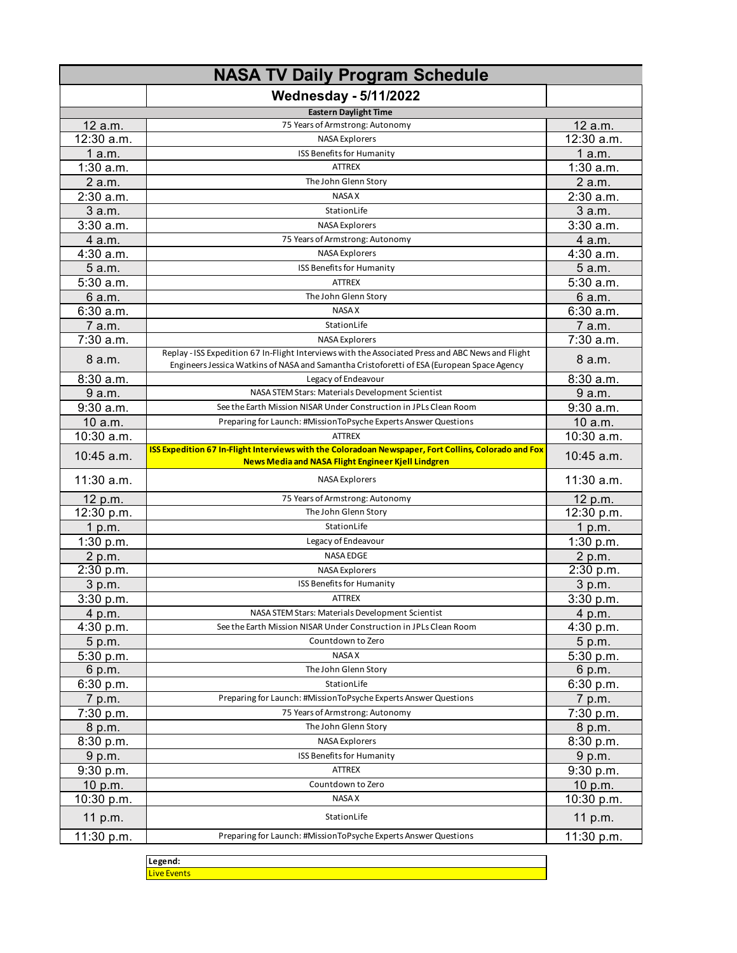|             | <b>NASA TV Daily Program Schedule</b>                                                                                                                                                           |              |
|-------------|-------------------------------------------------------------------------------------------------------------------------------------------------------------------------------------------------|--------------|
|             | <b>Wednesday - 5/11/2022</b>                                                                                                                                                                    |              |
|             | <b>Eastern Daylight Time</b>                                                                                                                                                                    |              |
| 12 a.m.     | 75 Years of Armstrong: Autonomy                                                                                                                                                                 | 12 a.m.      |
| 12:30 a.m.  | <b>NASA Explorers</b>                                                                                                                                                                           | 12:30 a.m.   |
| 1a.m.       | ISS Benefits for Humanity                                                                                                                                                                       | 1 a.m.       |
| $1:30$ a.m. | <b>ATTREX</b>                                                                                                                                                                                   | $1:30$ a.m.  |
| 2 a.m.      | The John Glenn Story                                                                                                                                                                            | 2 a.m.       |
| 2:30 a.m.   | <b>NASA X</b>                                                                                                                                                                                   | 2:30 a.m.    |
| 3 a.m.      | StationLife                                                                                                                                                                                     | 3 a.m.       |
| $3:30$ a.m. | <b>NASA Explorers</b>                                                                                                                                                                           | 3:30a.m.     |
| 4 a.m.      | 75 Years of Armstrong: Autonomy                                                                                                                                                                 | 4 a.m.       |
| 4:30 a.m.   | <b>NASA Explorers</b>                                                                                                                                                                           | 4:30 a.m.    |
| 5a.m.       | ISS Benefits for Humanity                                                                                                                                                                       | 5 a.m.       |
| $5:30$ a.m. | <b>ATTREX</b>                                                                                                                                                                                   | 5:30 a.m.    |
| 6 a.m.      | The John Glenn Story                                                                                                                                                                            | 6 a.m.       |
| 6:30 a.m.   | <b>NASA X</b>                                                                                                                                                                                   | 6:30 a.m.    |
| 7 a.m.      | StationLife                                                                                                                                                                                     | 7 a.m.       |
| 7:30 a.m.   | <b>NASA Explorers</b>                                                                                                                                                                           | 7:30 a.m.    |
| 8a.m.       | Replay - ISS Expedition 67 In-Flight Interviews with the Associated Press and ABC News and Flight<br>Engineers Jessica Watkins of NASA and Samantha Cristoforetti of ESA (European Space Agency | 8 a.m.       |
| 8:30 a.m.   | Legacy of Endeavour                                                                                                                                                                             | 8:30 a.m.    |
| 9 a.m.      | NASA STEM Stars: Materials Development Scientist                                                                                                                                                | 9 a.m.       |
| 9:30 a.m.   | See the Earth Mission NISAR Under Construction in JPLs Clean Room                                                                                                                               | 9:30 a.m.    |
| 10 a.m.     | Preparing for Launch: #MissionToPsyche Experts Answer Questions                                                                                                                                 | 10 a.m.      |
| 10:30 a.m.  | <b>ATTREX</b>                                                                                                                                                                                   | 10:30 a.m.   |
| 10:45 a.m.  | ISS Expedition 67 In-Flight Interviews with the Coloradoan Newspaper, Fort Collins, Colorado and Fox<br>News Media and NASA Flight Engineer Kjell Lindgren                                      | 10:45 a.m.   |
| 11:30 a.m.  | <b>NASA Explorers</b>                                                                                                                                                                           | $11:30$ a.m. |
| 12 p.m.     | 75 Years of Armstrong: Autonomy                                                                                                                                                                 | 12 p.m.      |
| 12:30 p.m.  | The John Glenn Story                                                                                                                                                                            | 12:30 p.m.   |
| 1 p.m.      | StationLife                                                                                                                                                                                     | 1 p.m.       |
| 1:30 p.m.   | Legacy of Endeavour                                                                                                                                                                             | 1:30 p.m.    |
| 2 p.m.      | <b>NASA EDGE</b>                                                                                                                                                                                | 2 p.m.       |
| 2:30 p.m.   | <b>NASA Explorers</b>                                                                                                                                                                           | 2:30 p.m.    |
| 3 p.m.      | ISS Benefits for Humanity                                                                                                                                                                       | 3 p.m.       |
| 3:30 p.m.   | <b>ATTREX</b>                                                                                                                                                                                   | 3:30 p.m.    |
| 4 p.m.      | NASA STEM Stars: Materials Development Scientist                                                                                                                                                | 4 p.m.       |
| 4:30 p.m.   | See the Earth Mission NISAR Under Construction in JPLs Clean Room                                                                                                                               | 4:30 p.m.    |
| 5 p.m.      | Countdown to Zero                                                                                                                                                                               | 5 p.m.       |
| 5:30 p.m.   | <b>NASA X</b>                                                                                                                                                                                   | 5:30 p.m.    |
| 6 p.m.      | The John Glenn Story                                                                                                                                                                            | 6 p.m.       |
| 6:30 p.m.   | StationLife                                                                                                                                                                                     | 6:30 p.m.    |
| 7 p.m.      | Preparing for Launch: #MissionToPsyche Experts Answer Questions                                                                                                                                 | 7 p.m.       |
| 7:30 p.m.   | 75 Years of Armstrong: Autonomy                                                                                                                                                                 | 7:30 p.m.    |
| 8 p.m.      | The John Glenn Story                                                                                                                                                                            | 8 p.m.       |
| 8:30 p.m.   | <b>NASA Explorers</b>                                                                                                                                                                           | 8:30 p.m.    |
| 9 p.m.      | ISS Benefits for Humanity                                                                                                                                                                       | 9 p.m.       |
| 9:30 p.m.   | <b>ATTREX</b>                                                                                                                                                                                   | 9:30 p.m.    |
| 10 p.m.     | Countdown to Zero                                                                                                                                                                               | 10 p.m.      |
| 10:30 p.m.  | NASA X                                                                                                                                                                                          | 10:30 p.m.   |
| 11 p.m.     | StationLife                                                                                                                                                                                     | 11 p.m.      |
| 11:30 p.m.  | Preparing for Launch: #MissionToPsyche Experts Answer Questions                                                                                                                                 | 11:30 p.m.   |
|             |                                                                                                                                                                                                 |              |

**Legend:** Live Events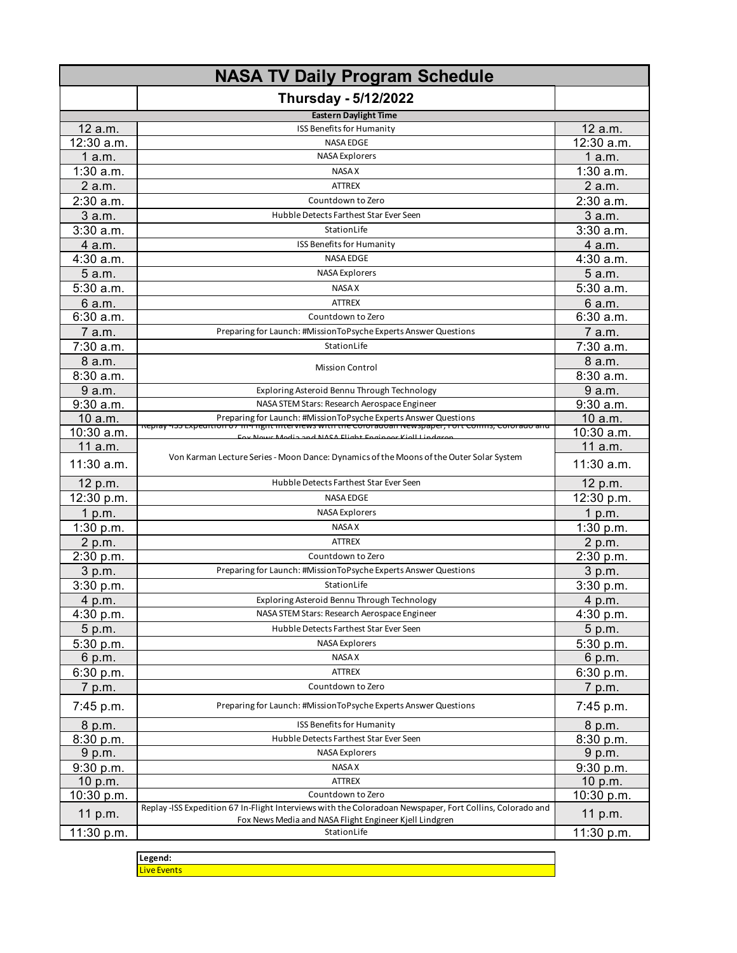|             | <b>NASA TV Daily Program Schedule</b>                                                                                                                                      |             |
|-------------|----------------------------------------------------------------------------------------------------------------------------------------------------------------------------|-------------|
|             | <b>Thursday - 5/12/2022</b>                                                                                                                                                |             |
|             | <b>Eastern Daylight Time</b>                                                                                                                                               |             |
| 12 a.m.     | ISS Benefits for Humanity                                                                                                                                                  | 12 a.m.     |
| 12:30 a.m.  | <b>NASA EDGE</b>                                                                                                                                                           | 12:30 a.m.  |
| 1 a.m.      | <b>NASA Explorers</b>                                                                                                                                                      | 1 a.m.      |
| $1:30$ a.m. | <b>NASA X</b>                                                                                                                                                              | $1:30$ a.m. |
| 2 a.m.      | <b>ATTREX</b>                                                                                                                                                              | 2 a.m.      |
| 2:30 a.m.   | Countdown to Zero                                                                                                                                                          | 2:30 a.m.   |
| 3 a.m.      | Hubble Detects Farthest Star Ever Seen                                                                                                                                     | 3 a.m.      |
| 3:30 a.m.   | StationLife                                                                                                                                                                | 3:30a.m.    |
| 4 a.m.      | ISS Benefits for Humanity                                                                                                                                                  | 4 a.m.      |
| 4:30 a.m.   | <b>NASA EDGE</b>                                                                                                                                                           | 4:30 a.m.   |
| 5 a.m.      | <b>NASA Explorers</b>                                                                                                                                                      | 5 a.m.      |
| $5:30$ a.m. | <b>NASA X</b>                                                                                                                                                              | 5:30 a.m.   |
| 6 a.m.      | <b>ATTREX</b>                                                                                                                                                              | 6 a.m.      |
| 6:30 a.m.   | Countdown to Zero                                                                                                                                                          | 6:30a.m.    |
| 7 a.m.      | Preparing for Launch: #MissionToPsyche Experts Answer Questions                                                                                                            | 7 a.m.      |
| $7:30$ a.m. | StationLife                                                                                                                                                                | 7:30 a.m.   |
| 8 a.m.      |                                                                                                                                                                            | 8 a.m.      |
| 8:30 a.m.   | <b>Mission Control</b>                                                                                                                                                     | 8:30 a.m.   |
| 9 a.m.      | Exploring Asteroid Bennu Through Technology                                                                                                                                | 9 a.m.      |
| $9:30$ a.m. | NASA STEM Stars: Research Aerospace Engineer                                                                                                                               | 9:30 a.m.   |
| 10 a.m.     | Preparing for Launch: #MissionToPsyche Experts Answer Questions                                                                                                            | 10 a.m.     |
| 10:30 a.m.  | <u> Replay -133 Expedition 67 in-Fright interviews with the Coloradoan Newspaper, Fort Comms, Colorado and </u><br>For Nouse Modia and NASA Flight Engineer Kiell Lindgrop | 10:30 a.m.  |
| 11 a.m.     |                                                                                                                                                                            | 11 a.m.     |
| 11:30 a.m.  | Von Karman Lecture Series - Moon Dance: Dynamics of the Moons of the Outer Solar System                                                                                    | 11:30 a.m.  |
| 12 p.m.     | Hubble Detects Farthest Star Ever Seen                                                                                                                                     | 12 p.m.     |
| 12:30 p.m.  | <b>NASA EDGE</b>                                                                                                                                                           | 12:30 p.m.  |
| 1 p.m.      | <b>NASA Explorers</b>                                                                                                                                                      | 1 p.m.      |
| 1:30 p.m.   | <b>NASA X</b>                                                                                                                                                              | 1:30 p.m.   |
| 2 p.m.      | <b>ATTREX</b>                                                                                                                                                              | 2 p.m.      |
| 2:30 p.m.   | Countdown to Zero                                                                                                                                                          | 2:30 p.m.   |
| 3 p.m.      | Preparing for Launch: #MissionToPsyche Experts Answer Questions                                                                                                            | 3 p.m.      |
| 3:30 p.m.   | StationLife                                                                                                                                                                | 3:30 p.m.   |
| 4 p.m.      | Exploring Asteroid Bennu Through Technology                                                                                                                                | 4 p.m.      |
| 4:30 p.m.   | NASA STEM Stars: Research Aerospace Engineer                                                                                                                               | 4:30 p.m.   |
| 5 p.m.      | Hubble Detects Farthest Star Ever Seen                                                                                                                                     | 5 p.m.      |
| 5:30 p.m.   | <b>NASA Explorers</b>                                                                                                                                                      | 5:30 p.m.   |
| 6 p.m.      | NASA X                                                                                                                                                                     | 6 p.m.      |
| 6:30 p.m.   | <b>ATTREX</b>                                                                                                                                                              | 6:30 p.m.   |
| 7 p.m.      | Countdown to Zero                                                                                                                                                          | 7 p.m.      |
| 7:45 p.m.   | Preparing for Launch: #MissionToPsyche Experts Answer Questions                                                                                                            | 7:45 p.m.   |
| 8 p.m.      | ISS Benefits for Humanity                                                                                                                                                  | 8 p.m.      |
| 8:30 p.m.   | Hubble Detects Farthest Star Ever Seen                                                                                                                                     | 8:30 p.m.   |
| 9 p.m.      | <b>NASA Explorers</b>                                                                                                                                                      | 9 p.m.      |
| 9:30 p.m.   | <b>NASA X</b>                                                                                                                                                              | 9:30 p.m.   |
| 10 $p.m.$   | <b>ATTREX</b>                                                                                                                                                              | 10 p.m.     |
| 10:30 p.m.  | Countdown to Zero                                                                                                                                                          | 10:30 p.m.  |
| 11 p.m.     | Replay -ISS Expedition 67 In-Flight Interviews with the Coloradoan Newspaper, Fort Collins, Colorado and<br>Fox News Media and NASA Flight Engineer Kjell Lindgren         | 11 p.m.     |
| 11:30 p.m.  | StationLife                                                                                                                                                                | 11:30 p.m.  |
|             |                                                                                                                                                                            |             |

| ----<br>egenu. . |  |
|------------------|--|
| ш                |  |
|                  |  |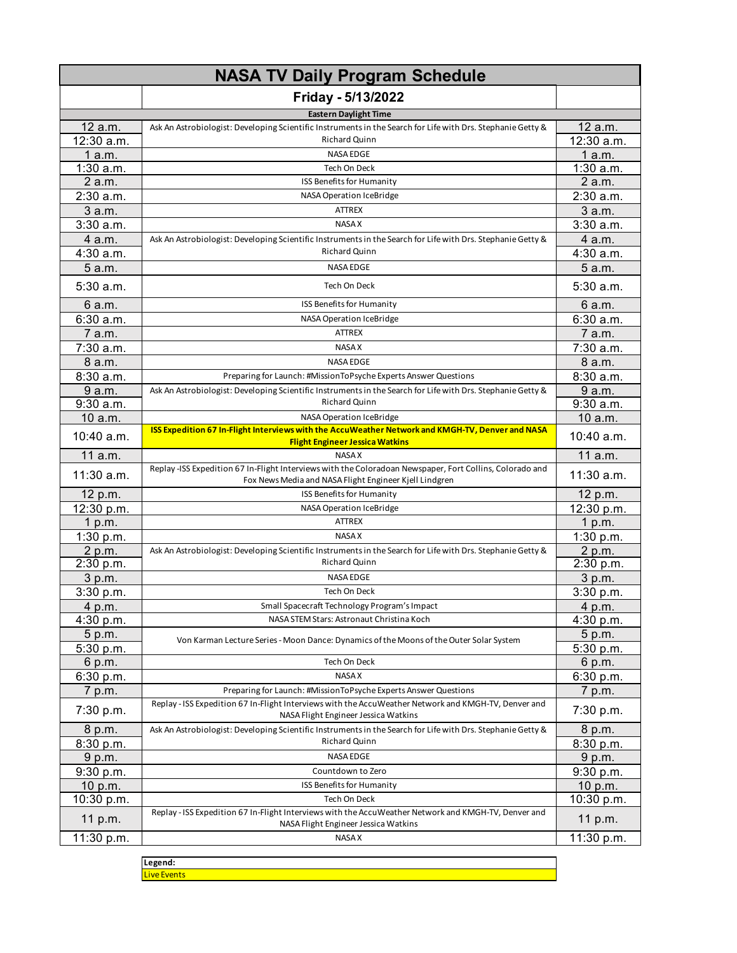|             | <b>NASA TV Daily Program Schedule</b>                                                                                                        |             |  |
|-------------|----------------------------------------------------------------------------------------------------------------------------------------------|-------------|--|
|             | Friday - 5/13/2022                                                                                                                           |             |  |
|             | <b>Eastern Daylight Time</b>                                                                                                                 |             |  |
| 12 a.m.     | Ask An Astrobiologist: Developing Scientific Instruments in the Search for Life with Drs. Stephanie Getty &                                  | 12 a.m.     |  |
| 12:30 a.m.  | Richard Quinn                                                                                                                                | 12:30 a.m.  |  |
| 1a.m.       | <b>NASA EDGE</b>                                                                                                                             | 1a.m.       |  |
| $1:30$ a.m. | Tech On Deck                                                                                                                                 | $1:30$ a.m. |  |
| 2 a.m.      | ISS Benefits for Humanity                                                                                                                    | 2 a.m.      |  |
| $2:30$ a.m. | NASA Operation IceBridge                                                                                                                     | 2:30 a.m.   |  |
| 3a.m.       | ATTREX                                                                                                                                       | 3 a.m.      |  |
| 3:30a.m.    | NASA X                                                                                                                                       | 3:30 a.m.   |  |
| 4 a.m.      | Ask An Astrobiologist: Developing Scientific Instruments in the Search for Life with Drs. Stephanie Getty &                                  | 4 a.m.      |  |
| 4:30 a.m.   | Richard Quinn                                                                                                                                | $4:30$ a.m. |  |
| 5 a.m.      | NASA EDGE                                                                                                                                    | 5 a.m.      |  |
| $5:30$ a.m. | Tech On Deck                                                                                                                                 | 5:30 a.m.   |  |
| 6 a.m.      | ISS Benefits for Humanity                                                                                                                    | 6 a.m.      |  |
| 6:30a.m.    | NASA Operation IceBridge                                                                                                                     | 6:30 a.m.   |  |
| 7 a.m.      | <b>ATTREX</b>                                                                                                                                | 7 a.m.      |  |
| $7:30$ a.m. | NASA X                                                                                                                                       | 7:30 a.m.   |  |
| 8 a.m.      | <b>NASA EDGE</b>                                                                                                                             | 8 a.m.      |  |
| 8:30a.m.    | Preparing for Launch: #MissionToPsyche Experts Answer Questions                                                                              | 8:30 a.m.   |  |
| 9 a.m.      | Ask An Astrobiologist: Developing Scientific Instruments in the Search for Life with Drs. Stephanie Getty &                                  | 9 a.m.      |  |
| 9:30 a.m.   | <b>Richard Quinn</b>                                                                                                                         | $9:30$ a.m. |  |
| 10 a.m.     | NASA Operation IceBridge                                                                                                                     | 10 a.m.     |  |
| 10:40 a.m.  | ISS Expedition 67 In-Flight Interviews with the AccuWeather Network and KMGH-TV, Denver and NASA                                             | 10:40 a.m.  |  |
| 11 a.m.     | <b>Flight Engineer Jessica Watkins</b><br><b>NASA X</b>                                                                                      | 11 a.m.     |  |
|             | Replay-ISS Expedition 67 In-Flight Interviews with the Coloradoan Newspaper, Fort Collins, Colorado and                                      |             |  |
| 11:30 a.m.  | Fox News Media and NASA Flight Engineer Kjell Lindgren                                                                                       | 11:30 a.m.  |  |
| 12 p.m.     | ISS Benefits for Humanity                                                                                                                    | 12 p.m.     |  |
| 12:30 p.m.  | NASA Operation IceBridge                                                                                                                     | 12:30 p.m.  |  |
| 1 p.m.      | <b>ATTREX</b>                                                                                                                                | 1 p.m.      |  |
| 1:30 p.m.   | NASA X                                                                                                                                       | 1:30 $p.m.$ |  |
| 2 p.m.      | Ask An Astrobiologist: Developing Scientific Instruments in the Search for Life with Drs. Stephanie Getty &                                  | 2 p.m.      |  |
| 2:30 p.m.   | Richard Quinn                                                                                                                                | 2:30 p.m.   |  |
| 3 p.m.      | <b>NASA EDGE</b>                                                                                                                             | 3 p.m.      |  |
| 3:30 p.m.   | Tech On Deck                                                                                                                                 | 3:30 p.m.   |  |
| 4 p.m.      | Small Spacecraft Technology Program's Impact                                                                                                 | 4 p.m.      |  |
| 4:30 p.m.   | NASA STEM Stars: Astronaut Christina Koch                                                                                                    | 4:30 p.m.   |  |
| 5 p.m.      | Von Karman Lecture Series - Moon Dance: Dynamics of the Moons of the Outer Solar System                                                      | 5 p.m.      |  |
| 5:30 p.m.   |                                                                                                                                              | 5:30 p.m.   |  |
| 6 p.m.      | Tech On Deck                                                                                                                                 | 6 p.m.      |  |
| 6:30 p.m.   | NASA X                                                                                                                                       | 6:30 p.m.   |  |
| 7 p.m.      | Preparing for Launch: #MissionToPsyche Experts Answer Questions                                                                              | 7 p.m.      |  |
| 7:30 p.m.   | Replay - ISS Expedition 67 In-Flight Interviews with the AccuWeather Network and KMGH-TV, Denver and<br>NASA Flight Engineer Jessica Watkins | 7:30 p.m.   |  |
| 8 p.m.      | Ask An Astrobiologist: Developing Scientific Instruments in the Search for Life with Drs. Stephanie Getty &                                  | 8 p.m.      |  |
| 8:30 p.m.   | Richard Quinn                                                                                                                                | 8:30 p.m.   |  |
| 9 p.m.      | NASA EDGE                                                                                                                                    | 9 p.m.      |  |
| 9:30 p.m.   | Countdown to Zero                                                                                                                            | 9:30 p.m.   |  |
| 10 p.m.     | ISS Benefits for Humanity                                                                                                                    | 10 p.m.     |  |
| 10:30 p.m.  | Tech On Deck                                                                                                                                 | 10:30 p.m.  |  |
| 11 p.m.     | Replay - ISS Expedition 67 In-Flight Interviews with the AccuWeather Network and KMGH-TV, Denver and                                         | 11 p.m.     |  |
| 11:30 p.m.  | NASA Flight Engineer Jessica Watkins<br>NASA X                                                                                               | 11:30 p.m.  |  |
|             |                                                                                                                                              |             |  |

**Legend:** Live Events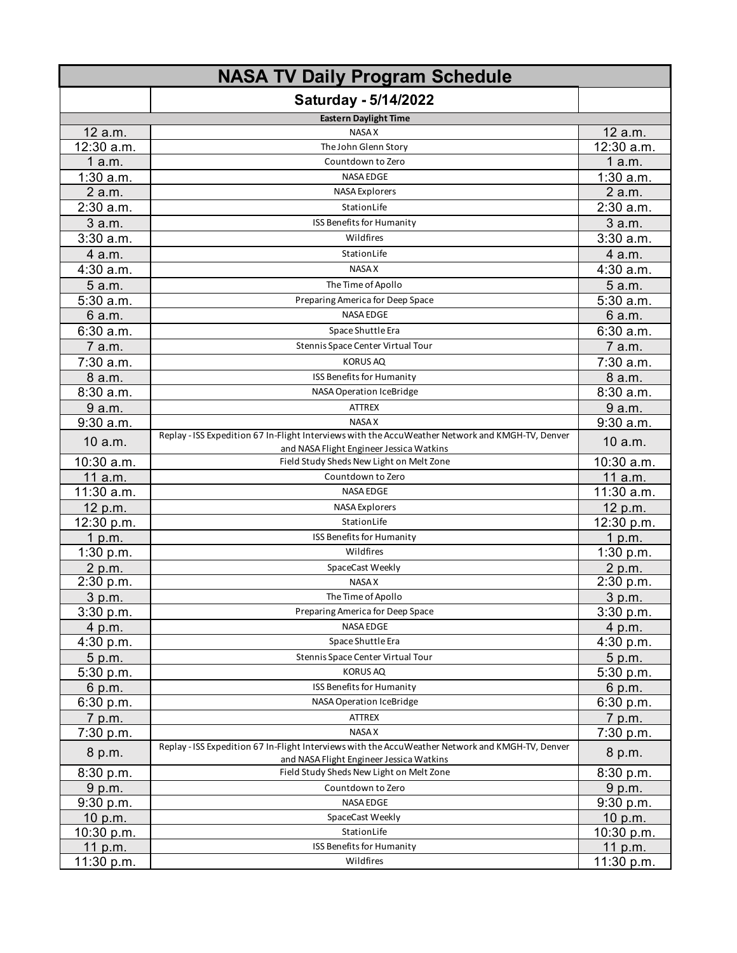|             | <b>NASA TV Daily Program Schedule</b>                                                                                                        |             |
|-------------|----------------------------------------------------------------------------------------------------------------------------------------------|-------------|
|             | <b>Saturday - 5/14/2022</b>                                                                                                                  |             |
|             | <b>Eastern Daylight Time</b>                                                                                                                 |             |
| 12 a.m.     | <b>NASA X</b>                                                                                                                                | 12 a.m.     |
| 12:30 a.m.  | The John Glenn Story                                                                                                                         | 12:30 a.m.  |
| 1a.m.       | Countdown to Zero                                                                                                                            | 1a.m.       |
| $1:30$ a.m. | <b>NASA EDGE</b>                                                                                                                             | $1:30$ a.m. |
| 2 a.m.      | <b>NASA Explorers</b>                                                                                                                        | 2 a.m.      |
| $2:30$ a.m. | StationLife                                                                                                                                  | 2:30 a.m.   |
| 3 a.m.      | ISS Benefits for Humanity                                                                                                                    | 3 a.m.      |
| $3:30$ a.m. | Wildfires                                                                                                                                    | $3:30$ a.m. |
| 4 a.m.      | StationLife                                                                                                                                  | 4 a.m.      |
| 4:30 a.m.   | <b>NASA X</b>                                                                                                                                | $4:30$ a.m. |
| 5 a.m.      | The Time of Apollo                                                                                                                           | 5 a.m.      |
| 5:30 a.m.   | Preparing America for Deep Space                                                                                                             | 5:30 a.m.   |
| 6 a.m.      | NASA EDGE                                                                                                                                    | 6 a.m.      |
| 6:30a.m.    | Space Shuttle Era                                                                                                                            | 6:30 a.m.   |
| 7 a.m.      | Stennis Space Center Virtual Tour                                                                                                            | 7 a.m.      |
| 7:30 a.m.   | <b>KORUS AQ</b>                                                                                                                              | 7:30 a.m.   |
| 8 a.m.      | ISS Benefits for Humanity                                                                                                                    | 8 a.m.      |
| 8:30a.m.    | NASA Operation IceBridge                                                                                                                     | 8:30 a.m.   |
| 9 a.m.      | <b>ATTREX</b>                                                                                                                                | 9 a.m.      |
| $9:30$ a.m. | <b>NASA X</b>                                                                                                                                | $9:30$ a.m. |
|             | Replay - ISS Expedition 67 In-Flight Interviews with the AccuWeather Network and KMGH-TV, Denver                                             |             |
| 10 a.m.     | and NASA Flight Engineer Jessica Watkins                                                                                                     | 10 a.m.     |
| 10:30 a.m.  | Field Study Sheds New Light on Melt Zone                                                                                                     | 10:30 a.m.  |
| 11 a.m.     | Countdown to Zero                                                                                                                            | 11 a.m.     |
| 11:30 a.m.  | <b>NASA EDGE</b>                                                                                                                             | 11:30 a.m.  |
| 12 p.m.     | <b>NASA Explorers</b>                                                                                                                        | 12 p.m.     |
| 12:30 p.m.  | StationLife                                                                                                                                  | 12:30 p.m.  |
| 1 p.m.      | ISS Benefits for Humanity                                                                                                                    | 1 p.m.      |
| 1:30 p.m.   | Wildfires                                                                                                                                    | 1:30 p.m.   |
| 2 p.m.      | SpaceCast Weekly                                                                                                                             | 2 p.m.      |
| 2:30 p.m.   | NASA X                                                                                                                                       | 2:30 p.m.   |
| 3 p.m.      | The Time of Apollo                                                                                                                           | 3 p.m.      |
| 3:30 p.m.   | Preparing America for Deep Space                                                                                                             | 3:30 p.m.   |
| 4 p.m.      | NASA EDGE                                                                                                                                    | 4 p.m.      |
| 4:30 p.m.   | Space Shuttle Era                                                                                                                            | 4:30 p.m.   |
| 5 p.m.      | Stennis Space Center Virtual Tour                                                                                                            | 5 p.m.      |
| 5:30 p.m.   | <b>KORUS AQ</b>                                                                                                                              | 5:30 p.m.   |
| 6 p.m.      | ISS Benefits for Humanity                                                                                                                    | 6 p.m.      |
| 6:30 p.m.   | NASA Operation IceBridge                                                                                                                     | 6:30 p.m.   |
| 7 p.m.      | ATTREX                                                                                                                                       | 7 p.m.      |
| 7:30 p.m.   | NASA X                                                                                                                                       | 7:30 p.m.   |
| 8 p.m.      | Replay - ISS Expedition 67 In-Flight Interviews with the AccuWeather Network and KMGH-TV, Denver<br>and NASA Flight Engineer Jessica Watkins | 8 p.m.      |
| 8:30 p.m.   | Field Study Sheds New Light on Melt Zone                                                                                                     | 8:30 p.m.   |
| 9 p.m.      | Countdown to Zero                                                                                                                            | 9 p.m.      |
| 9:30 p.m.   | NASA EDGE                                                                                                                                    | 9:30 p.m.   |
| 10 p.m.     | SpaceCast Weekly                                                                                                                             | 10 p.m.     |
| 10:30 p.m.  | StationLife                                                                                                                                  | 10:30 p.m.  |
| 11 p.m.     | ISS Benefits for Humanity                                                                                                                    | 11 p.m.     |
| 11:30 p.m.  | Wildfires                                                                                                                                    | 11:30 p.m.  |